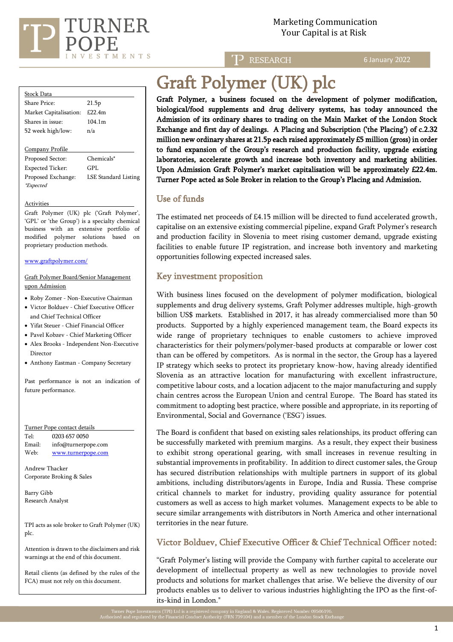

Marketing Communication Your Capital is at Risk

TP RESEARCH

6 January 2022

| <b>Stock Data</b>      |        |
|------------------------|--------|
| Share Price:           | 21.5p  |
| Market Capitalisation: | £22.4m |
| Shares in issue:       | 104.1m |
| 52 week high/low:      | n/a    |
|                        |        |
| Company Profile        |        |

Proposed Sector: Chemicals\* Expected Ticker: GPL Proposed Exchange: LSE Standard Listing \*Expected

Activities

Graft Polymer (UK) plc ('Graft Polymer', 'GPL' or 'the Group') is a specialty chemical business with an extensive portfolio of modified polymer solutions based on proprietary production methods.

[www.graftpolymer.com/](http://www.graftpolymer.com/)

#### Graft Polymer Board/Senior Management upon Admission

- Roby Zomer Non-Executive Chairman
- Victor Bolduev Chief Executive Officer and Chief Technical Officer
- Yifat Steuer Chief Financial Officer
- Pavel Kobzev Chief Marketing Officer
- Alex Brooks Independent Non-Executive Director
- Anthony Eastman Company Secretary

Past performance is not an indication of future performance.

| Turner Pope contact details                    |                                               |  |
|------------------------------------------------|-----------------------------------------------|--|
| Tel·                                           | 0203 657 0050                                 |  |
| Email:                                         | info@turnerpope.com                           |  |
| Web:                                           | www.turnerpope.com                            |  |
| Andrew Thacker<br>Corporate Broking & Sales    |                                               |  |
| Barry Gibb                                     |                                               |  |
| Research Analyst                               |                                               |  |
| plc.                                           | TPI acts as sole broker to Graft Polymer (UK) |  |
| Attention is drawn to the disclaimers and risk |                                               |  |

warnings at the end of this document.

Retail clients (as defined by the rules of the FCA) must not rely on this document.

# Graft Polymer (UK) plc

Graft Polymer, a business focused on the development of polymer modification, biological/food supplements and drug delivery systems, has today announced the Admission of its ordinary shares to trading on the Main Market of the London Stock Exchange and first day of dealings. A Placing and Subscription ('the Placing') of c.2.32 million new ordinary shares at 21.5p each raised approximately £5 million (gross) in order to fund expansion of the Group's research and production facility, upgrade existing laboratories, accelerate growth and increase both inventory and marketing abilities. Upon Admission Graft Polymer's market capitalisation will be approximately £22.4m. Turner Pope acted as Sole Broker in relation to the Group's Placing and Admission.

# Use of funds

j

The estimated net proceeds of £4.15 million will be directed to fund accelerated growth, capitalise on an extensive existing commercial pipeline, expand Graft Polymer's research and production facility in Slovenia to meet rising customer demand, upgrade existing facilities to enable future IP registration, and increase both inventory and marketing opportunities following expected increased sales.

# Key investment proposition

With business lines focused on the development of polymer modification, biological supplements and drug delivery systems, Graft Polymer addresses multiple, high-growth billion US\$ markets. Established in 2017, it has already commercialised more than 50 products. Supported by a highly experienced management team, the Board expects its wide range of proprietary techniques to enable customers to achieve improved characteristics for their polymers/polymer-based products at comparable or lower cost than can be offered by competitors. As is normal in the sector, the Group has a layered IP strategy which seeks to protect its proprietary know-how, having already identified Slovenia as an attractive location for manufacturing with excellent infrastructure, competitive labour costs, and a location adjacent to the major manufacturing and supply chain centres across the European Union and central Europe. The Board has stated its commitment to adopting best practice, where possible and appropriate, in its reporting of Environmental, Social and Governance ('ESG') issues.

The Board is confident that based on existing sales relationships, its product offering can be successfully marketed with premium margins. As a result, they expect their business to exhibit strong operational gearing, with small increases in revenue resulting in substantial improvements in profitability. In addition to direct customer sales, the Group has secured distribution relationships with multiple partners in support of its global ambitions, including distributors/agents in Europe, India and Russia. These comprise critical channels to market for industry, providing quality assurance for potential customers as well as access to high market volumes. Management expects to be able to secure similar arrangements with distributors in North America and other international territories in the near future.

# Victor Bolduev, Chief Executive Officer & Chief Technical Officer noted:

"Graft Polymer's listing will provide the Company with further capital to accelerate our development of intellectual property as well as new technologies to provide novel products and solutions for market challenges that arise. We believe the diversity of our products enables us to deliver to various industries highlighting the IPO as the first-ofits-kind in London."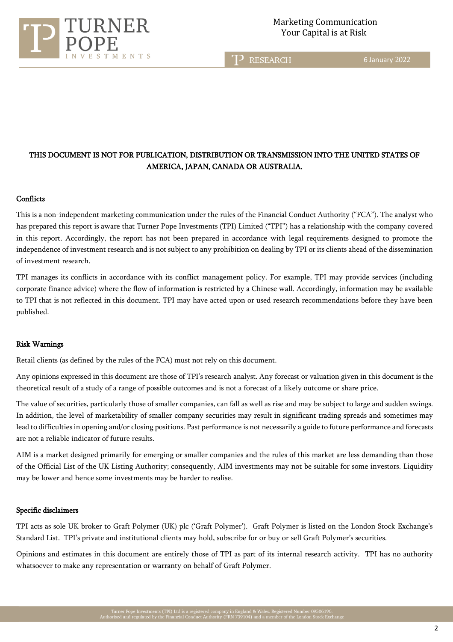

T<sub>2</sub> RESEARCH

6 January 2022

# THIS DOCUMENT IS NOT FOR PUBLICATION, DISTRIBUTION OR TRANSMISSION INTO THE UNITED STATES OF AMERICA, JAPAN, CANADA OR AUSTRALIA.

#### **Conflicts**

This is a non-independent marketing communication under the rules of the Financial Conduct Authority ("FCA"). The analyst who has prepared this report is aware that Turner Pope Investments (TPI) Limited ("TPI") has a relationship with the company covered in this report. Accordingly, the report has not been prepared in accordance with legal requirements designed to promote the independence of investment research and is not subject to any prohibition on dealing by TPI or its clients ahead of the dissemination of investment research.

TPI manages its conflicts in accordance with its conflict management policy. For example, TPI may provide services (including corporate finance advice) where the flow of information is restricted by a Chinese wall. Accordingly, information may be available to TPI that is not reflected in this document. TPI may have acted upon or used research recommendations before they have been published.

#### Risk Warnings

Retail clients (as defined by the rules of the FCA) must not rely on this document.

ī

Any opinions expressed in this document are those of TPI's research analyst. Any forecast or valuation given in this document is the theoretical result of a study of a range of possible outcomes and is not a forecast of a likely outcome or share price.

The value of securities, particularly those of smaller companies, can fall as well as rise and may be subject to large and sudden swings. In addition, the level of marketability of smaller company securities may result in significant trading spreads and sometimes may lead to difficulties in opening and/or closing positions. Past performance is not necessarily a guide to future performance and forecasts are not a reliable indicator of future results.

AIM is a market designed primarily for emerging or smaller companies and the rules of this market are less demanding than those of the Official List of the UK Listing Authority; consequently, AIM investments may not be suitable for some investors. Liquidity may be lower and hence some investments may be harder to realise.

#### Specific disclaimers

TPI acts as sole UK broker to Graft Polymer (UK) plc ('Graft Polymer'). Graft Polymer is listed on the London Stock Exchange's Standard List. TPI's private and institutional clients may hold, subscribe for or buy or sell Graft Polymer's securities.

Opinions and estimates in this document are entirely those of TPI as part of its internal research activity. TPI has no authority whatsoever to make any representation or warranty on behalf of Graft Polymer.